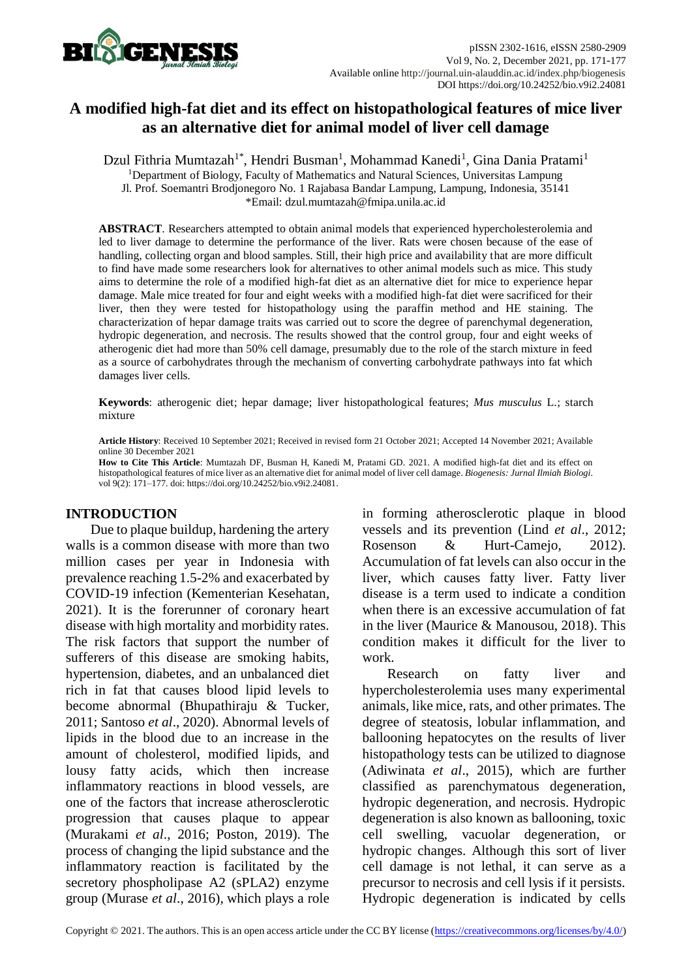

# **A modified high-fat diet and its effect on histopathological features of mice liver as an alternative diet for animal model of liver cell damage**

Dzul Fithria Mumtazah<sup>1\*</sup>, Hendri Busman<sup>1</sup>, Mohammad Kanedi<sup>1</sup>, Gina Dania Pratami<sup>1</sup> <sup>1</sup>Department of Biology, Faculty of Mathematics and Natural Sciences, Universitas Lampung Jl. Prof. Soemantri Brodjonegoro No. 1 Rajabasa Bandar Lampung, Lampung, Indonesia, 35141 \*Email: dzul.mumtazah@fmipa.unila.ac.id

**ABSTRACT**. Researchers attempted to obtain animal models that experienced hypercholesterolemia and led to liver damage to determine the performance of the liver. Rats were chosen because of the ease of handling, collecting organ and blood samples. Still, their high price and availability that are more difficult to find have made some researchers look for alternatives to other animal models such as mice. This study aims to determine the role of a modified high-fat diet as an alternative diet for mice to experience hepar damage. Male mice treated for four and eight weeks with a modified high-fat diet were sacrificed for their liver, then they were tested for histopathology using the paraffin method and HE staining. The characterization of hepar damage traits was carried out to score the degree of parenchymal degeneration, hydropic degeneration, and necrosis. The results showed that the control group, four and eight weeks of atherogenic diet had more than 50% cell damage, presumably due to the role of the starch mixture in feed as a source of carbohydrates through the mechanism of converting carbohydrate pathways into fat which damages liver cells.

**Keywords**: atherogenic diet; hepar damage; liver histopathological features; *Mus musculus* L.; starch mixture

**Article History**: Received 10 September 2021; Received in revised form 21 October 2021; Accepted 14 November 2021; Available online 30 December 2021

**How to Cite This Article**: Mumtazah DF, Busman H, Kanedi M, Pratami GD. 2021. A modified high-fat diet and its effect on histopathological features of mice liver as an alternative diet for animal model of liver cell damage. *Biogenesis: Jurnal Ilmiah Biologi*. vol 9(2): 171–177. doi: https://doi.org/10.24252/bio.v9i2.24081.

### **INTRODUCTION**

Due to plaque buildup, hardening the artery walls is a common disease with more than two million cases per year in Indonesia with prevalence reaching 1.5-2% and exacerbated by COVID-19 infection (Kementerian Kesehatan, 2021). It is the forerunner of coronary heart disease with high mortality and morbidity rates. The risk factors that support the number of sufferers of this disease are smoking habits, hypertension, diabetes, and an unbalanced diet rich in fat that causes blood lipid levels to become abnormal (Bhupathiraju & Tucker, 2011; Santoso *et al*., 2020). Abnormal levels of lipids in the blood due to an increase in the amount of cholesterol, modified lipids, and lousy fatty acids, which then increase inflammatory reactions in blood vessels, are one of the factors that increase atherosclerotic progression that causes plaque to appear (Murakami *et al*., 2016; Poston, 2019). The process of changing the lipid substance and the inflammatory reaction is facilitated by the secretory phospholipase A2 (sPLA2) enzyme group (Murase *et al*., 2016), which plays a role in forming atherosclerotic plaque in blood vessels and its prevention (Lind *et al*., 2012; Rosenson & Hurt-Camejo, 2012). Accumulation of fat levels can also occur in the liver, which causes fatty liver. Fatty liver disease is a term used to indicate a condition when there is an excessive accumulation of fat in the liver (Maurice & Manousou, 2018). This condition makes it difficult for the liver to work.

Research on fatty liver and hypercholesterolemia uses many experimental animals, like mice, rats, and other primates. The degree of steatosis, lobular inflammation, and ballooning hepatocytes on the results of liver histopathology tests can be utilized to diagnose (Adiwinata *et al*., 2015), which are further classified as parenchymatous degeneration, hydropic degeneration, and necrosis. Hydropic degeneration is also known as ballooning, toxic cell swelling, vacuolar degeneration, or hydropic changes. Although this sort of liver cell damage is not lethal, it can serve as a precursor to necrosis and cell lysis if it persists. Hydropic degeneration is indicated by cells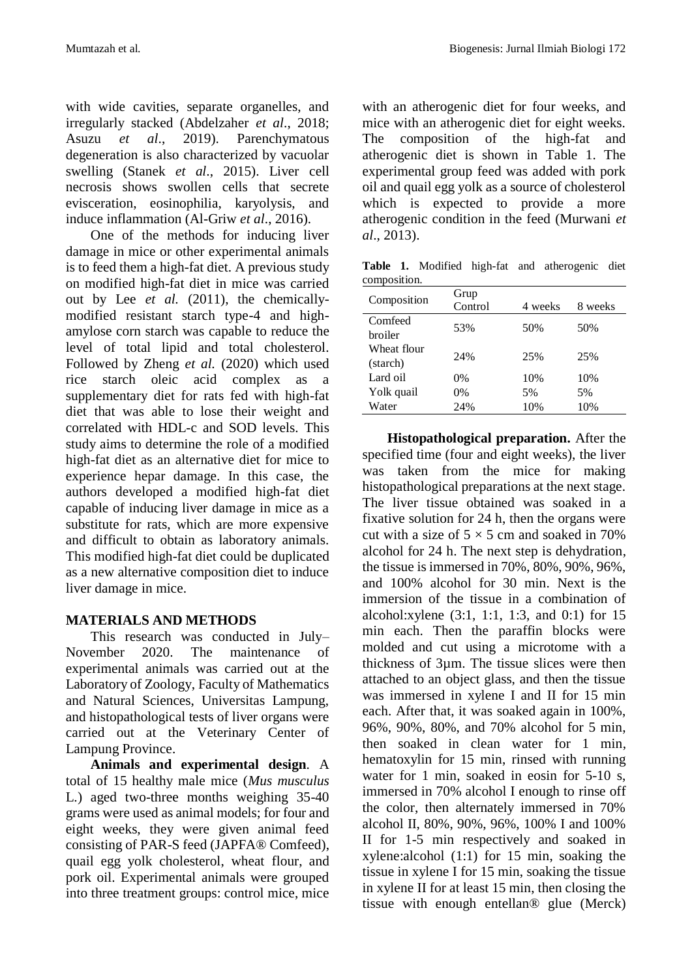with wide cavities, separate organelles, and irregularly stacked (Abdelzaher *et al*., 2018; Asuzu *et al*., 2019). Parenchymatous degeneration is also characterized by vacuolar swelling (Stanek *et al*., 2015). Liver cell necrosis shows swollen cells that secrete evisceration, eosinophilia, karyolysis, and induce inflammation (Al-Griw *et al*., 2016).

One of the methods for inducing liver damage in mice or other experimental animals is to feed them a high-fat diet. A previous study on modified high-fat diet in mice was carried out by Lee *et al.* (2011), the chemicallymodified resistant starch type-4 and highamylose corn starch was capable to reduce the level of total lipid and total cholesterol. Followed by Zheng *et al.* (2020) which used rice starch oleic acid complex as a supplementary diet for rats fed with high-fat diet that was able to lose their weight and correlated with HDL-c and SOD levels. This study aims to determine the role of a modified high-fat diet as an alternative diet for mice to experience hepar damage. In this case, the authors developed a modified high-fat diet capable of inducing liver damage in mice as a substitute for rats, which are more expensive and difficult to obtain as laboratory animals. This modified high-fat diet could be duplicated as a new alternative composition diet to induce liver damage in mice.

# **MATERIALS AND METHODS**

This research was conducted in July– November 2020. The maintenance of experimental animals was carried out at the Laboratory of Zoology, Faculty of Mathematics and Natural Sciences, Universitas Lampung, and histopathological tests of liver organs were carried out at the Veterinary Center of Lampung Province.

**Animals and experimental design**. A total of 15 healthy male mice (*Mus musculus* L.) aged two-three months weighing 35-40 grams were used as animal models; for four and eight weeks, they were given animal feed consisting of PAR-S feed (JAPFA® Comfeed), quail egg yolk cholesterol, wheat flour, and pork oil. Experimental animals were grouped into three treatment groups: control mice, mice with an atherogenic diet for four weeks, and mice with an atherogenic diet for eight weeks. The composition of the high-fat and atherogenic diet is shown in Table 1. The experimental group feed was added with pork oil and quail egg yolk as a source of cholesterol which is expected to provide a more atherogenic condition in the feed (Murwani *et al*., 2013).

**Table 1.** Modified high-fat and atherogenic diet composition.

| Composition | Grup<br>Control | 4 weeks | 8 weeks |
|-------------|-----------------|---------|---------|
| Comfeed     | 53%             | 50%     | 50%     |
| broiler     |                 |         |         |
| Wheat flour | 24%             | 25%     | 25%     |
| (starch)    |                 |         |         |
| Lard oil    | 0%              | 10%     | 10%     |
| Yolk quail  | 0%              | 5%      | 5%      |
| Water       | 24%             | 10%     | 10%     |

**Histopathological preparation.** After the specified time (four and eight weeks), the liver was taken from the mice for making histopathological preparations at the next stage. The liver tissue obtained was soaked in a fixative solution for 24 h, then the organs were cut with a size of  $5 \times 5$  cm and soaked in 70% alcohol for 24 h. The next step is dehydration, the tissue is immersed in 70%, 80%, 90%, 96%, and 100% alcohol for 30 min. Next is the immersion of the tissue in a combination of alcohol:xylene (3:1, 1:1, 1:3, and 0:1) for 15 min each. Then the paraffin blocks were molded and cut using a microtome with a thickness of 3µm. The tissue slices were then attached to an object glass, and then the tissue was immersed in xylene I and II for 15 min each. After that, it was soaked again in 100%, 96%, 90%, 80%, and 70% alcohol for 5 min, then soaked in clean water for 1 min, hematoxylin for 15 min, rinsed with running water for 1 min, soaked in eosin for 5-10 s, immersed in 70% alcohol I enough to rinse off the color, then alternately immersed in 70% alcohol II, 80%, 90%, 96%, 100% I and 100% II for 1-5 min respectively and soaked in xylene:alcohol (1:1) for 15 min, soaking the tissue in xylene I for 15 min, soaking the tissue in xylene II for at least 15 min, then closing the tissue with enough entellan® glue (Merck)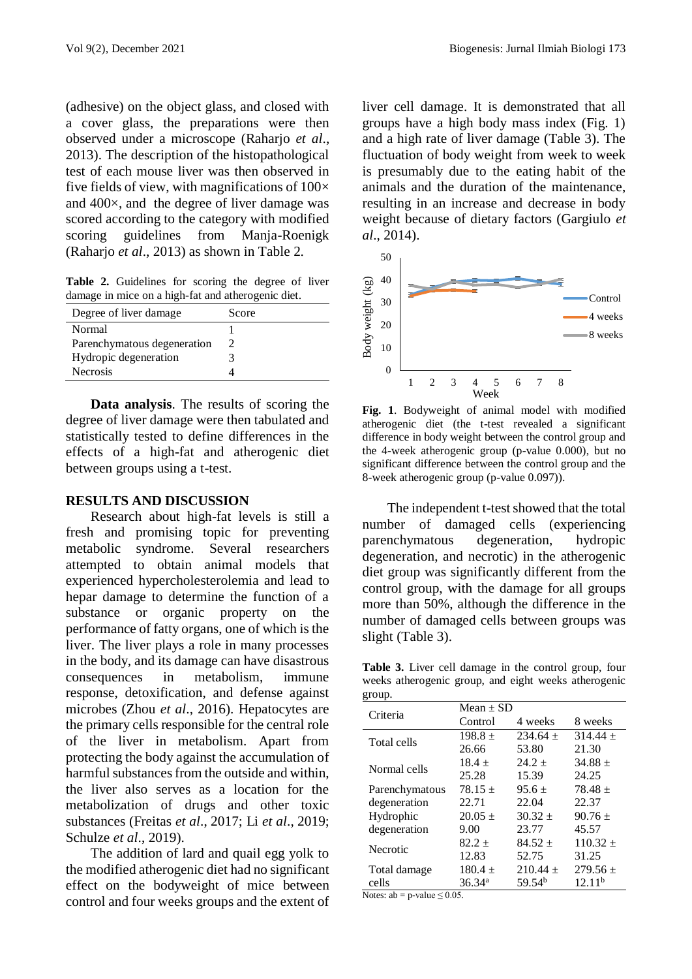(adhesive) on the object glass, and closed with a cover glass, the preparations were then observed under a microscope (Raharjo *et al*., 2013). The description of the histopathological test of each mouse liver was then observed in five fields of view, with magnifications of  $100\times$ and 400×, and the degree of liver damage was scored according to the category with modified scoring guidelines from Manja-Roenigk (Raharjo *et al*., 2013) as shown in Table 2.

Table 2. Guidelines for scoring the degree of liver damage in mice on a high-fat and atherogenic diet.

| Degree of liver damage      | Score                       |
|-----------------------------|-----------------------------|
| Normal                      |                             |
| Parenchymatous degeneration | $\mathcal{D}_{\mathcal{A}}$ |
| Hydropic degeneration       |                             |
| <b>Necrosis</b>             |                             |

**Data analysis**. The results of scoring the degree of liver damage were then tabulated and statistically tested to define differences in the effects of a high-fat and atherogenic diet between groups using a t-test.

#### **RESULTS AND DISCUSSION**

Research about high-fat levels is still a fresh and promising topic for preventing metabolic syndrome. Several researchers attempted to obtain animal models that experienced hypercholesterolemia and lead to hepar damage to determine the function of a substance or organic property on the performance of fatty organs, one of which is the liver. The liver plays a role in many processes in the body, and its damage can have disastrous consequences in metabolism, immune response, detoxification, and defense against microbes (Zhou *et al*., 2016). Hepatocytes are the primary cells responsible for the central role of the liver in metabolism. Apart from protecting the body against the accumulation of harmful substances from the outside and within, the liver also serves as a location for the metabolization of drugs and other toxic substances (Freitas *et al*., 2017; Li *et al*., 2019; Schulze *et al*., 2019).

The addition of lard and quail egg yolk to the modified atherogenic diet had no significant effect on the bodyweight of mice between control and four weeks groups and the extent of liver cell damage. It is demonstrated that all groups have a high body mass index (Fig. 1) and a high rate of liver damage (Table 3). The fluctuation of body weight from week to week is presumably due to the eating habit of the animals and the duration of the maintenance, resulting in an increase and decrease in body weight because of dietary factors (Gargiulo *et al*., 2014).



**Fig. 1**. Bodyweight of animal model with modified atherogenic diet (the t-test revealed a significant difference in body weight between the control group and the 4-week atherogenic group (p-value 0.000), but no significant difference between the control group and the 8-week atherogenic group (p-value 0.097)).

The independent t-test showed that the total number of damaged cells (experiencing parenchymatous degeneration, hydropic degeneration, and necrotic) in the atherogenic diet group was significantly different from the control group, with the damage for all groups more than 50%, although the difference in the number of damaged cells between groups was slight (Table 3).

**Table 3.** Liver cell damage in the control group, four weeks atherogenic group, and eight weeks atherogenic  $groun$ 

| giuup.         |                    |                    |                    |
|----------------|--------------------|--------------------|--------------------|
| Criteria       | Mean $\pm$ SD      |                    |                    |
|                | Control            | 4 weeks            | 8 weeks            |
| Total cells    | $198.8 +$          | $234.64 +$         | $314.44 \pm$       |
|                | 26.66              | 53.80              | 21.30              |
| Normal cells   | $18.4 +$           | $24.2 +$           | $34.88 +$          |
|                | 25.28              | 15.39              | 24.25              |
| Parenchymatous | $78.15 +$          | $95.6 \pm$         | $78.48 \pm$        |
| degeneration   | 22.71              | 22.04              | 22.37              |
| Hydrophic      | $20.05 \pm$        | $30.32 +$          | $90.76 \pm$        |
| degeneration   | 9.00               | 23.77              | 45.57              |
| Necrotic       | $82.2 +$           | $84.52 +$          | $110.32 +$         |
|                | 12.83              | 52.75              | 31.25              |
| Total damage   | $180.4 \pm$        | $210.44 \pm$       | 279.56 $\pm$       |
| cells          | 36.34 <sup>a</sup> | 59.54 <sup>b</sup> | 12.11 <sup>b</sup> |

Notes:  $ab = p-value \le 0.05$ .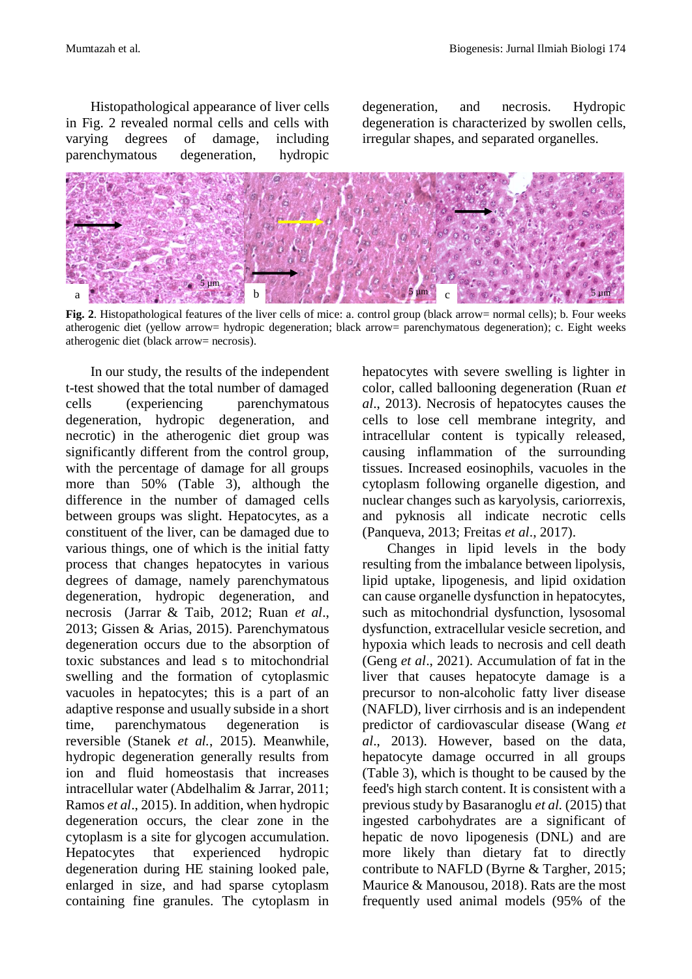Histopathological appearance of liver cells in Fig. 2 revealed normal cells and cells with varying degrees of damage, including parenchymatous degeneration, hydropic

degeneration, and necrosis. Hydropic degeneration is characterized by swollen cells, irregular shapes, and separated organelles.



**Fig. 2**. Histopathological features of the liver cells of mice: a. control group (black arrow= normal cells); b. Four weeks atherogenic diet (yellow arrow= hydropic degeneration; black arrow= parenchymatous degeneration); c. Eight weeks atherogenic diet (black arrow= necrosis).

In our study, the results of the independent t-test showed that the total number of damaged cells (experiencing parenchymatous degeneration, hydropic degeneration, and necrotic) in the atherogenic diet group was significantly different from the control group, with the percentage of damage for all groups more than 50% (Table 3), although the difference in the number of damaged cells between groups was slight. Hepatocytes, as a constituent of the liver, can be damaged due to various things, one of which is the initial fatty process that changes hepatocytes in various degrees of damage, namely parenchymatous degeneration, hydropic degeneration, and necrosis (Jarrar & Taib, 2012; Ruan *et al*., 2013; Gissen & Arias, 2015). Parenchymatous degeneration occurs due to the absorption of toxic substances and lead s to mitochondrial swelling and the formation of cytoplasmic vacuoles in hepatocytes; this is a part of an adaptive response and usually subside in a short time, parenchymatous degeneration is reversible (Stanek *et al.*, 2015). Meanwhile, hydropic degeneration generally results from ion and fluid homeostasis that increases intracellular water (Abdelhalim & Jarrar, 2011; Ramos *et al*., 2015). In addition, when hydropic degeneration occurs, the clear zone in the cytoplasm is a site for glycogen accumulation. Hepatocytes that experienced hydropic degeneration during HE staining looked pale, enlarged in size, and had sparse cytoplasm containing fine granules. The cytoplasm in

hepatocytes with severe swelling is lighter in color, called ballooning degeneration (Ruan *et al*., 2013). Necrosis of hepatocytes causes the cells to lose cell membrane integrity, and intracellular content is typically released, causing inflammation of the surrounding tissues. Increased eosinophils, vacuoles in the cytoplasm following organelle digestion, and nuclear changes such as karyolysis, cariorrexis, and pyknosis all indicate necrotic cells (Panqueva, 2013; Freitas *et al*., 2017).

Changes in lipid levels in the body resulting from the imbalance between lipolysis, lipid uptake, lipogenesis, and lipid oxidation can cause organelle dysfunction in hepatocytes, such as mitochondrial dysfunction, lysosomal dysfunction, extracellular vesicle secretion, and hypoxia which leads to necrosis and cell death (Geng *et al*., 2021). Accumulation of fat in the liver that causes hepatocyte damage is a precursor to non-alcoholic fatty liver disease (NAFLD), liver cirrhosis and is an independent predictor of cardiovascular disease (Wang *et al*., 2013). However, based on the data, hepatocyte damage occurred in all groups (Table 3), which is thought to be caused by the feed's high starch content. It is consistent with a previous study by Basaranoglu *et al.* (2015) that ingested carbohydrates are a significant of hepatic de novo lipogenesis (DNL) and are more likely than dietary fat to directly contribute to NAFLD (Byrne & Targher, 2015; Maurice & Manousou, 2018). Rats are the most frequently used animal models (95% of the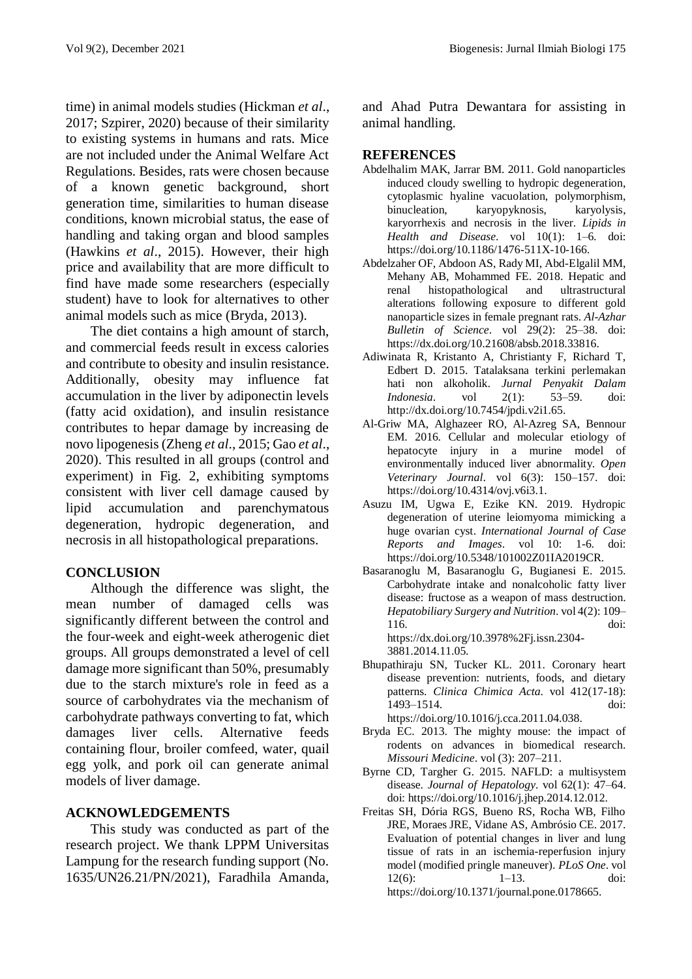time) in animal models studies (Hickman *et al*., 2017; Szpirer, 2020) because of their similarity to existing systems in humans and rats. Mice are not included under the Animal Welfare Act Regulations. Besides, rats were chosen because of a known genetic background, short generation time, similarities to human disease conditions, known microbial status, the ease of handling and taking organ and blood samples (Hawkins *et al*., 2015). However, their high price and availability that are more difficult to find have made some researchers (especially student) have to look for alternatives to other animal models such as mice (Bryda, 2013).

The diet contains a high amount of starch, and commercial feeds result in excess calories and contribute to obesity and insulin resistance. Additionally, obesity may influence fat accumulation in the liver by adiponectin levels (fatty acid oxidation), and insulin resistance contributes to hepar damage by increasing de novo lipogenesis (Zheng *et al*., 2015; Gao *et al*., 2020). This resulted in all groups (control and experiment) in Fig. 2, exhibiting symptoms consistent with liver cell damage caused by lipid accumulation and parenchymatous degeneration, hydropic degeneration, and necrosis in all histopathological preparations.

# **CONCLUSION**

Although the difference was slight, the mean number of damaged cells was significantly different between the control and the four-week and eight-week atherogenic diet groups. All groups demonstrated a level of cell damage more significant than 50%, presumably due to the starch mixture's role in feed as a source of carbohydrates via the mechanism of carbohydrate pathways converting to fat, which damages liver cells. Alternative feeds containing flour, broiler comfeed, water, quail egg yolk, and pork oil can generate animal models of liver damage.

# **ACKNOWLEDGEMENTS**

This study was conducted as part of the research project. We thank LPPM Universitas Lampung for the research funding support (No. 1635/UN26.21/PN/2021), Faradhila Amanda, and Ahad Putra Dewantara for assisting in animal handling.

### **REFERENCES**

- Abdelhalim MAK, Jarrar BM. 2011. Gold nanoparticles induced cloudy swelling to hydropic degeneration, cytoplasmic hyaline vacuolation, polymorphism, binucleation, karyopyknosis, karyolysis, karyorrhexis and necrosis in the liver. *Lipids in Health and Disease*. vol 10(1): 1–6. doi: https://doi.org/10.1186/1476-511X-10-166.
- Abdelzaher OF, Abdoon AS, Rady MI, Abd-Elgalil MM, Mehany AB, Mohammed FE. 2018. Hepatic and renal histopathological and ultrastructural alterations following exposure to different gold nanoparticle sizes in female pregnant rats. *Al-Azhar Bulletin of Science*. vol 29(2): 25–38. doi: https://dx.doi.org/10.21608/absb.2018.33816.
- Adiwinata R, Kristanto A, Christianty F, Richard T, Edbert D. 2015. Tatalaksana terkini perlemakan hati non alkoholik. *Jurnal Penyakit Dalam Indonesia*. vol 2(1): 53–59. doi: http://dx.doi.org/10.7454/jpdi.v2i1.65.
- Al-Griw MA, Alghazeer RO, Al-Azreg SA, Bennour EM. 2016. Cellular and molecular etiology of hepatocyte injury in a murine model of environmentally induced liver abnormality*. Open Veterinary Journal*. vol 6(3): 150–157. doi: https://doi.org/10.4314/ovj.v6i3.1.
- Asuzu IM, Ugwa E, Ezike KN. 2019. Hydropic degeneration of uterine leiomyoma mimicking a huge ovarian cyst. *International Journal of Case Reports and Images*. vol 10: 1-6. doi: https://doi.org/10.5348/101002Z01IA2019CR.
- Basaranoglu M, Basaranoglu G, Bugianesi E. 2015. Carbohydrate intake and nonalcoholic fatty liver disease: fructose as a weapon of mass destruction. *Hepatobiliary Surgery and Nutrition*. vol 4(2): 109– 116. doi: https://dx.doi.org/10.3978%2Fj.issn.2304-

3881.2014.11.05.

Bhupathiraju SN, Tucker KL. 2011. Coronary heart disease prevention: nutrients, foods, and dietary patterns. *Clinica Chimica Acta*. vol 412(17-18): 1493–1514. doi:

https://doi.org/10.1016/j.cca.2011.04.038.

- Bryda EC. 2013. The mighty mouse: the impact of rodents on advances in biomedical research. *Missouri Medicine*. vol (3): 207–211.
- Byrne CD, Targher G. 2015. NAFLD: a multisystem disease. *Journal of Hepatology*. vol 62(1): 47–64. doi: https://doi.org/10.1016/j.jhep.2014.12.012.
- Freitas SH, Dória RGS, Bueno RS, Rocha WB, Filho JRE, Moraes JRE, Vidane AS, Ambrósio CE. 2017. Evaluation of potential changes in liver and lung tissue of rats in an ischemia-reperfusion injury model (modified pringle maneuver). *PLoS One*. vol 12(6): 1–13. doi: https://doi.org/10.1371/journal.pone.0178665.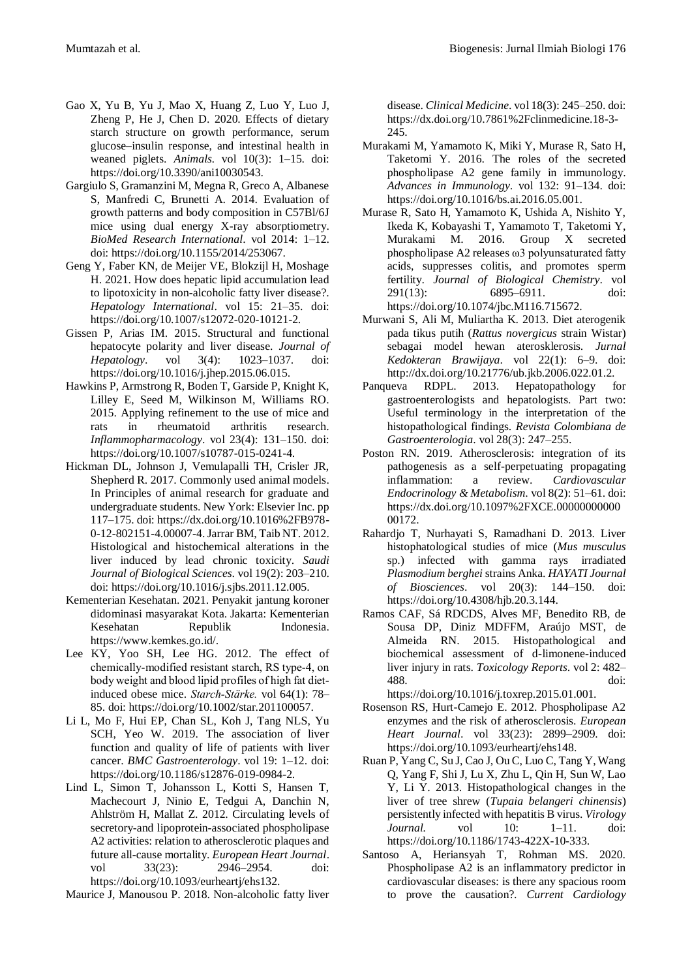- Gao X, Yu B, Yu J, Mao X, Huang Z, Luo Y, Luo J, Zheng P, He J, Chen D. 2020. Effects of dietary starch structure on growth performance, serum glucose–insulin response, and intestinal health in weaned piglets. *Animals.* vol 10(3): 1–15. doi: https://doi.org/10.3390/ani10030543.
- Gargiulo S, Gramanzini M, Megna R, Greco A, Albanese S, Manfredi C, Brunetti A. 2014. Evaluation of growth patterns and body composition in C57Bl/6J mice using dual energy X-ray absorptiometry. *BioMed Research International*. vol 2014: 1–12. doi: https://doi.org/10.1155/2014/253067.
- Geng Y, Faber KN, de Meijer VE, Blokzijl H, Moshage H. 2021. How does hepatic lipid accumulation lead to lipotoxicity in non-alcoholic fatty liver disease?. *Hepatology International*. vol 15: 21–35. doi: https://doi.org/10.1007/s12072-020-10121-2.
- Gissen P, Arias IM. 2015. Structural and functional hepatocyte polarity and liver disease. *Journal of Hepatology*. vol 3(4): 1023–1037. doi: https://doi.org/10.1016/j.jhep.2015.06.015.
- Hawkins P, Armstrong R, Boden T, Garside P, Knight K, Lilley E, Seed M, Wilkinson M, Williams RO. 2015. Applying refinement to the use of mice and rats in rheumatoid arthritis research. *Inflammopharmacology*. vol 23(4): 131–150. doi: https://doi.org/10.1007/s10787-015-0241-4.
- Hickman DL, Johnson J, Vemulapalli TH, Crisler JR, Shepherd R. 2017. Commonly used animal models. In Principles of animal research for graduate and undergraduate students. New York: Elsevier Inc. pp 117–175. doi: https://dx.doi.org/10.1016%2FB978- 0-12-802151-4.00007-4.Jarrar BM, Taib NT. 2012. Histological and histochemical alterations in the liver induced by lead chronic toxicity. *Saudi Journal of Biological Sciences*. vol 19(2): 203–210. doi: https://doi.org/10.1016/j.sjbs.2011.12.005.
- Kementerian Kesehatan. 2021. Penyakit jantung koroner didominasi masyarakat Kota. Jakarta: Kementerian Kesehatan Republik Indonesia. https://www.kemkes.go.id/.
- Lee KY, Yoo SH, Lee HG. 2012. The effect of chemically‐modified resistant starch, RS type‐4, on body weight and blood lipid profiles of high fat diet‐ induced obese mice. *Starch‐Stärke.* vol 64(1): 78– 85. doi: https://doi.org/10.1002/star.201100057.
- Li L, Mo F, Hui EP, Chan SL, Koh J, Tang NLS, Yu SCH, Yeo W. 2019. The association of liver function and quality of life of patients with liver cancer. *BMC Gastroenterology*. vol 19: 1–12. doi: https://doi.org/10.1186/s12876-019-0984-2.
- Lind L, Simon T, Johansson L, Kotti S, Hansen T, Machecourt J, Ninio E, Tedgui A, Danchin N, Ahlström H, Mallat Z. 2012. Circulating levels of secretory-and lipoprotein-associated phospholipase A2 activities: relation to atherosclerotic plaques and future all-cause mortality. *European Heart Journal*. vol 33(23): 2946–2954. doi: https://doi.org/10.1093/eurheartj/ehs132.

Maurice J, Manousou P. 2018. Non-alcoholic fatty liver

disease. *Clinical Medicine*. vol 18(3): 245–250. doi: https://dx.doi.org/10.7861%2Fclinmedicine.18-3- 245.

- Murakami M, Yamamoto K, Miki Y, Murase R, Sato H, Taketomi Y. 2016. The roles of the secreted phospholipase A2 gene family in immunology. *Advances in Immunology*. vol 132: 91–134. doi: https://doi.org/10.1016/bs.ai.2016.05.001.
- Murase R, Sato H, Yamamoto K, Ushida A, Nishito Y, Ikeda K, Kobayashi T, Yamamoto T, Taketomi Y, Murakami M. 2016. Group X secreted phospholipase A2 releases ω3 polyunsaturated fatty acids, suppresses colitis, and promotes sperm fertility. *Journal of Biological Chemistry*. vol 291(13): 6895–6911. doi: https://doi.org/10.1074/jbc.M116.715672.
- Murwani S, Ali M, Muliartha K. 2013. Diet aterogenik pada tikus putih (*Rattus novergicus* strain Wistar) sebagai model hewan aterosklerosis. *Jurnal Kedokteran Brawijaya*. vol 22(1): 6–9. doi: http://dx.doi.org/10.21776/ub.jkb.2006.022.01.2.
- Panqueva RDPL. 2013. Hepatopathology for gastroenterologists and hepatologists. Part two: Useful terminology in the interpretation of the histopathological findings. *Revista Colombiana de Gastroenterologia*. vol 28(3): 247–255.
- Poston RN. 2019. Atherosclerosis: integration of its pathogenesis as a self-perpetuating propagating inflammation: a review. *Cardiovascular Endocrinology & Metabolism*. vol 8(2): 51–61. doi: https://dx.doi.org/10.1097%2FXCE.00000000000 00172.
- Rahardjo T, Nurhayati S, Ramadhani D. 2013. Liver histophatological studies of mice (*Mus musculus* sp.) infected with gamma rays irradiated *Plasmodium berghei* strains Anka. *HAYATI Journal of Biosciences*. vol 20(3): 144–150. doi: https://doi.org/10.4308/hjb.20.3.144.
- Ramos CAF, Sá RDCDS, Alves MF, Benedito RB, de Sousa DP, Diniz MDFFM, Araújo MST, de Almeida RN. 2015. Histopathological and biochemical assessment of d-limonene-induced liver injury in rats. *Toxicology Reports*. vol 2: 482– 488. doi: https://doi.org/10.1016/j.toxrep.2015.01.001.
- Rosenson RS, Hurt-Camejo E. 2012. Phospholipase A2 enzymes and the risk of atherosclerosis. *European Heart Journal*. vol 33(23): 2899–2909. doi: https://doi.org/10.1093/eurheartj/ehs148.
- Ruan P, Yang C, Su J, Cao J, Ou C, Luo C, Tang Y, Wang Q, Yang F, Shi J, Lu X, Zhu L, Qin H, Sun W, Lao Y, Li Y. 2013. Histopathological changes in the liver of tree shrew (*Tupaia belangeri chinensis*) persistently infected with hepatitis B virus. *Virology Journal.* vol 10: 1–11. doi: https://doi.org/10.1186/1743-422X-10-333.
- Santoso A, Heriansyah T, Rohman MS. 2020. Phospholipase A2 is an inflammatory predictor in cardiovascular diseases: is there any spacious room to prove the causation?. *Current Cardiology*